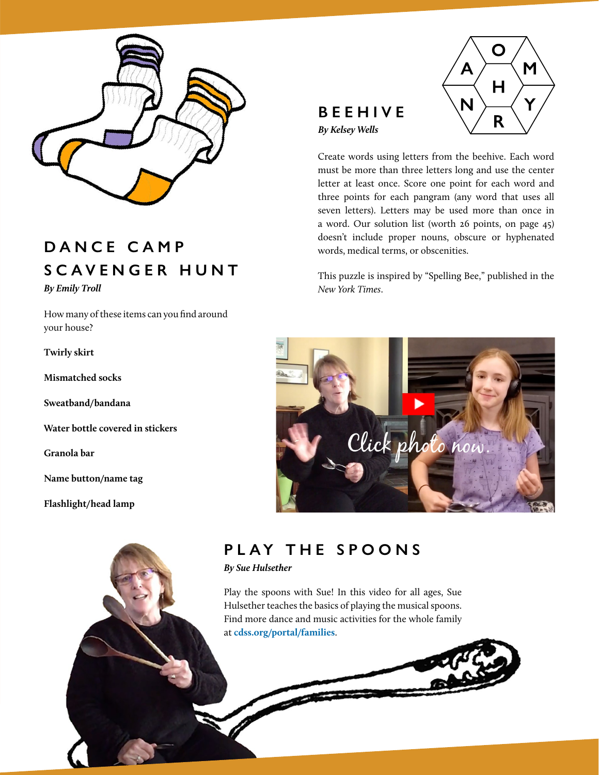

# **DANCE CAMP SCAVENGER HUNT** *By Emily Troll*

How many of these items can you find around your house?

**Twirly skirt**

**Mismatched socks**

**Sweatband/bandana**

**Water bottle covered in stickers**

**Granola bar**

**Name button/name tag**

**Flashlight/head lamp**

# **BEEHIVE** *By Kelsey Wells*



Create words using letters from the beehive. Each word must be more than three letters long and use the center letter at least once. Score one point for each word and three points for each pangram (any word that uses all seven letters). Letters may be used more than once in a word. Our solution list (worth 26 points, on page 45) doesn't include proper nouns, obscure or hyphenated words, medical terms, or obscenities.

This puzzle is inspired by "Spelling Bee," published in the *New York Times*.



# **PLAY THE SPOONS**

CDSS NEWS | *Fall 2020* CDSS.ORG 35

*By Sue Hulsether*

Play the spoons with Sue! In this video for all ages, Sue Hulsether teaches the basics of playing the musical spoons. Find more dance and music activities for the whole family at **[cdss.org/portal/families](http://cdss.org/portal/families)**.